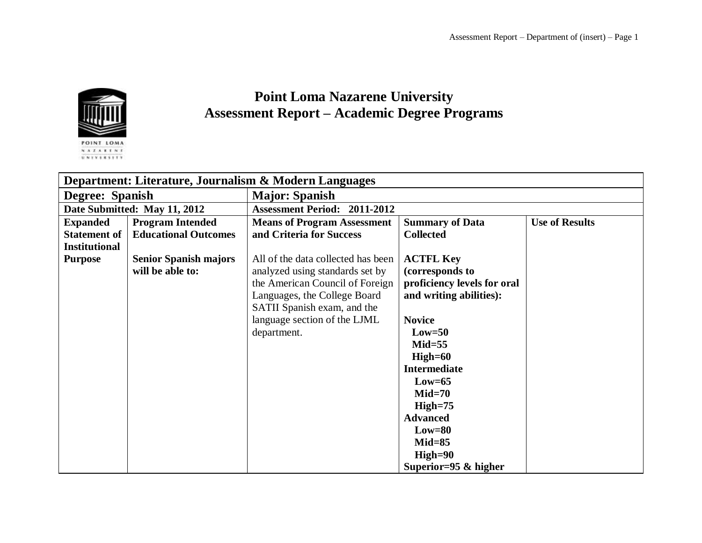

## **Point Loma Nazarene University Assessment Report – Academic Degree Programs**

| Department: Literature, Journalism & Modern Languages |                              |                                     |                             |                       |  |
|-------------------------------------------------------|------------------------------|-------------------------------------|-----------------------------|-----------------------|--|
| Degree: Spanish                                       |                              | <b>Major: Spanish</b>               |                             |                       |  |
| Date Submitted: May 11, 2012                          |                              | <b>Assessment Period: 2011-2012</b> |                             |                       |  |
| <b>Expanded</b>                                       | <b>Program Intended</b>      | <b>Means of Program Assessment</b>  | <b>Summary of Data</b>      | <b>Use of Results</b> |  |
| <b>Statement of</b>                                   | <b>Educational Outcomes</b>  | and Criteria for Success            | <b>Collected</b>            |                       |  |
| <b>Institutional</b>                                  |                              |                                     |                             |                       |  |
| <b>Purpose</b>                                        | <b>Senior Spanish majors</b> | All of the data collected has been  | <b>ACTFL Key</b>            |                       |  |
|                                                       | will be able to:             | analyzed using standards set by     | (corresponds to             |                       |  |
|                                                       |                              | the American Council of Foreign     | proficiency levels for oral |                       |  |
|                                                       |                              | Languages, the College Board        | and writing abilities):     |                       |  |
|                                                       |                              | SATII Spanish exam, and the         |                             |                       |  |
|                                                       |                              | language section of the LJML        | <b>Novice</b>               |                       |  |
|                                                       |                              | department.                         | $Low=50$                    |                       |  |
|                                                       |                              |                                     | $Mid=55$                    |                       |  |
|                                                       |                              |                                     | $High=60$                   |                       |  |
|                                                       |                              |                                     | <b>Intermediate</b>         |                       |  |
|                                                       |                              |                                     | $Low=65$                    |                       |  |
|                                                       |                              |                                     | $Mid=70$                    |                       |  |
|                                                       |                              |                                     | $High=75$                   |                       |  |
|                                                       |                              |                                     | <b>Advanced</b>             |                       |  |
|                                                       |                              |                                     | $Low=80$                    |                       |  |
|                                                       |                              |                                     | $Mid=85$                    |                       |  |
|                                                       |                              |                                     | $High=90$                   |                       |  |
|                                                       |                              |                                     | Superior=95 $&$ higher      |                       |  |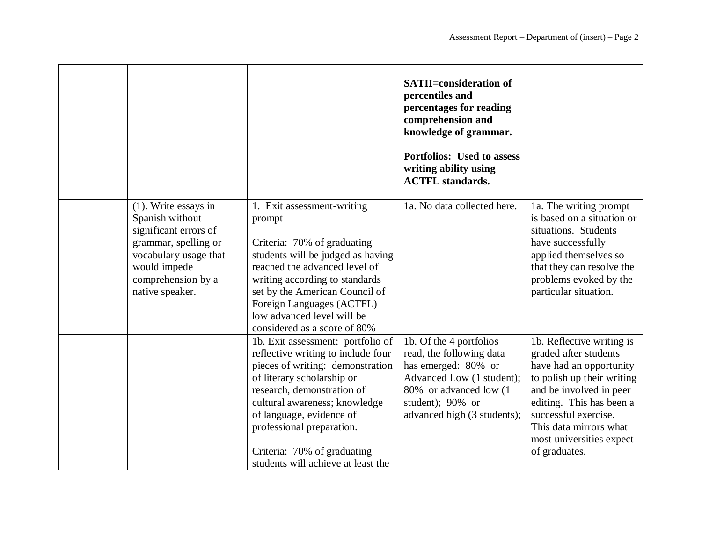|                                                                                                                                                                               |                                                                                                                                                                                                                                                                                                                                        | <b>SATII=consideration of</b><br>percentiles and<br>percentages for reading<br>comprehension and<br>knowledge of grammar.<br>Portfolios: Used to assess<br>writing ability using<br><b>ACTFL</b> standards. |                                                                                                                                                                                                                                                                   |
|-------------------------------------------------------------------------------------------------------------------------------------------------------------------------------|----------------------------------------------------------------------------------------------------------------------------------------------------------------------------------------------------------------------------------------------------------------------------------------------------------------------------------------|-------------------------------------------------------------------------------------------------------------------------------------------------------------------------------------------------------------|-------------------------------------------------------------------------------------------------------------------------------------------------------------------------------------------------------------------------------------------------------------------|
| $(1)$ . Write essays in<br>Spanish without<br>significant errors of<br>grammar, spelling or<br>vocabulary usage that<br>would impede<br>comprehension by a<br>native speaker. | 1. Exit assessment-writing<br>prompt<br>Criteria: 70% of graduating<br>students will be judged as having<br>reached the advanced level of<br>writing according to standards<br>set by the American Council of<br>Foreign Languages (ACTFL)<br>low advanced level will be<br>considered as a score of 80%                               | 1a. No data collected here.                                                                                                                                                                                 | 1a. The writing prompt<br>is based on a situation or<br>situations. Students<br>have successfully<br>applied themselves so<br>that they can resolve the<br>problems evoked by the<br>particular situation.                                                        |
|                                                                                                                                                                               | 1b. Exit assessment: portfolio of<br>reflective writing to include four<br>pieces of writing: demonstration<br>of literary scholarship or<br>research, demonstration of<br>cultural awareness; knowledge<br>of language, evidence of<br>professional preparation.<br>Criteria: 70% of graduating<br>students will achieve at least the | 1b. Of the 4 portfolios<br>read, the following data<br>has emerged: 80% or<br>Advanced Low (1 student);<br>80% or advanced low (1)<br>student); 90% or<br>advanced high (3 students);                       | 1b. Reflective writing is<br>graded after students<br>have had an opportunity<br>to polish up their writing<br>and be involved in peer<br>editing. This has been a<br>successful exercise.<br>This data mirrors what<br>most universities expect<br>of graduates. |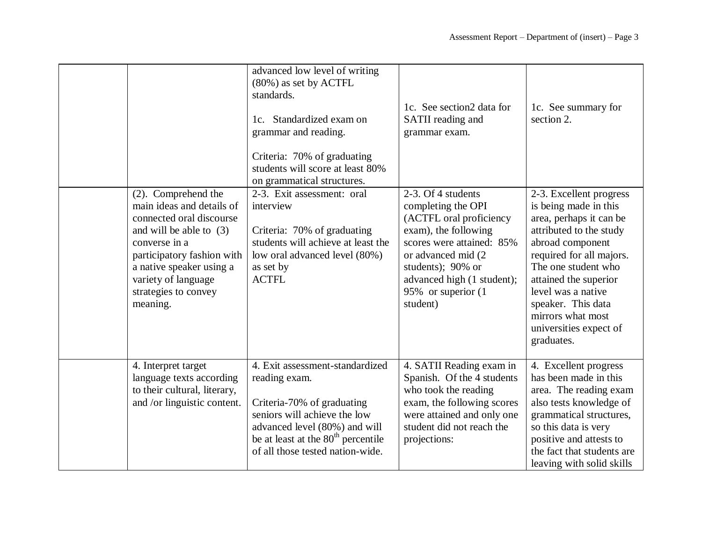|                                                                                                                                                                                                                                                 | advanced low level of writing<br>(80%) as set by ACTFL<br>standards.<br>Standardized exam on<br>1c.<br>grammar and reading.<br>Criteria: 70% of graduating<br>students will score at least 80%<br>on grammatical structures.          | 1c. See section2 data for<br>SATII reading and<br>grammar exam.                                                                                                                                                                      | 1c. See summary for<br>section 2.                                                                                                                                                                                                                                                                               |
|-------------------------------------------------------------------------------------------------------------------------------------------------------------------------------------------------------------------------------------------------|---------------------------------------------------------------------------------------------------------------------------------------------------------------------------------------------------------------------------------------|--------------------------------------------------------------------------------------------------------------------------------------------------------------------------------------------------------------------------------------|-----------------------------------------------------------------------------------------------------------------------------------------------------------------------------------------------------------------------------------------------------------------------------------------------------------------|
| (2). Comprehend the<br>main ideas and details of<br>connected oral discourse<br>and will be able to $(3)$<br>converse in a<br>participatory fashion with<br>a native speaker using a<br>variety of language<br>strategies to convey<br>meaning. | 2-3. Exit assessment: oral<br>interview<br>Criteria: 70% of graduating<br>students will achieve at least the<br>low oral advanced level (80%)<br>as set by<br><b>ACTFL</b>                                                            | 2-3. Of 4 students<br>completing the OPI<br>(ACTFL oral proficiency<br>exam), the following<br>scores were attained: 85%<br>or advanced mid (2)<br>students); 90% or<br>advanced high (1 student);<br>95% or superior (1<br>student) | 2-3. Excellent progress<br>is being made in this<br>area, perhaps it can be<br>attributed to the study<br>abroad component<br>required for all majors.<br>The one student who<br>attained the superior<br>level was a native<br>speaker. This data<br>mirrors what most<br>universities expect of<br>graduates. |
| 4. Interpret target<br>language texts according<br>to their cultural, literary,<br>and /or linguistic content.                                                                                                                                  | 4. Exit assessment-standardized<br>reading exam.<br>Criteria-70% of graduating<br>seniors will achieve the low<br>advanced level (80%) and will<br>be at least at the 80 <sup>th</sup> percentile<br>of all those tested nation-wide. | 4. SATII Reading exam in<br>Spanish. Of the 4 students<br>who took the reading<br>exam, the following scores<br>were attained and only one<br>student did not reach the<br>projections:                                              | 4. Excellent progress<br>has been made in this<br>area. The reading exam<br>also tests knowledge of<br>grammatical structures,<br>so this data is very<br>positive and attests to<br>the fact that students are<br>leaving with solid skills                                                                    |